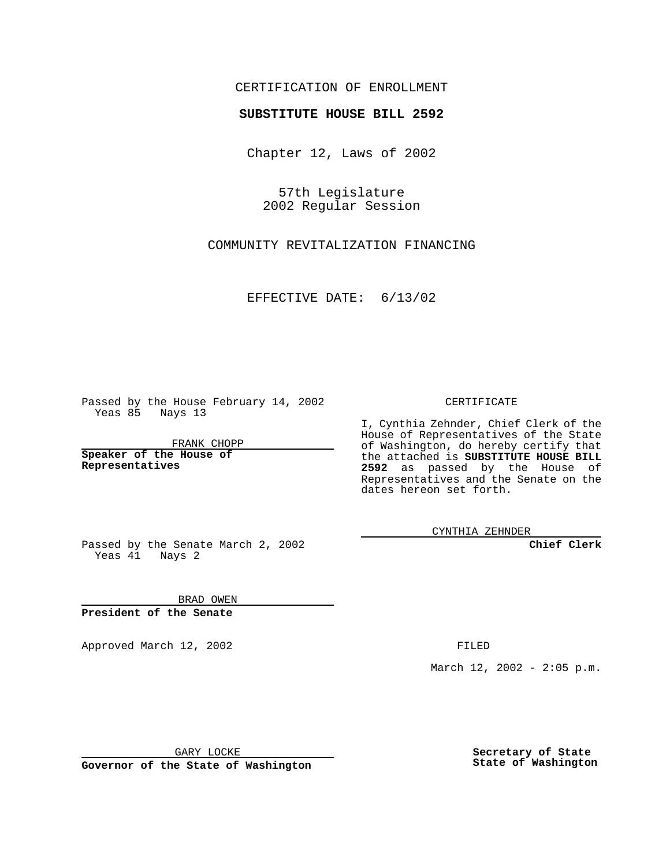## CERTIFICATION OF ENROLLMENT

## **SUBSTITUTE HOUSE BILL 2592**

Chapter 12, Laws of 2002

57th Legislature 2002 Regular Session

COMMUNITY REVITALIZATION FINANCING

EFFECTIVE DATE: 6/13/02

Passed by the House February 14, 2002 Yeas 85 Nays 13

FRANK CHOPP

**Speaker of the House of Representatives**

CERTIFICATE

I, Cynthia Zehnder, Chief Clerk of the House of Representatives of the State of Washington, do hereby certify that the attached is **SUBSTITUTE HOUSE BILL 2592** as passed by the House of Representatives and the Senate on the dates hereon set forth.

CYNTHIA ZEHNDER

**Chief Clerk**

Passed by the Senate March 2, 2002 Yeas 41 Nays 2

BRAD OWEN **President of the Senate**

Approved March 12, 2002 **FILED** 

March 12, 2002 - 2:05 p.m.

GARY LOCKE

**Governor of the State of Washington**

**Secretary of State State of Washington**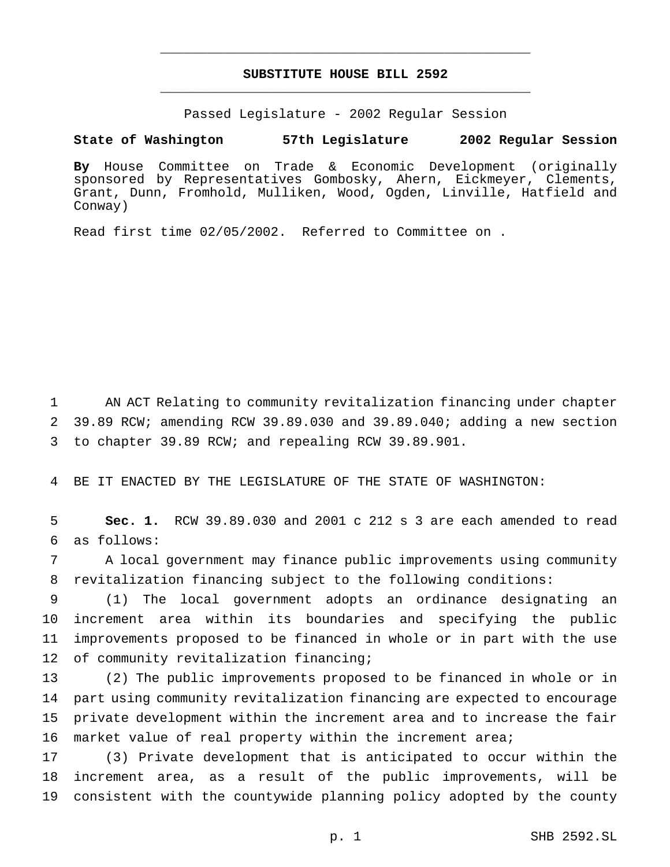## **SUBSTITUTE HOUSE BILL 2592** \_\_\_\_\_\_\_\_\_\_\_\_\_\_\_\_\_\_\_\_\_\_\_\_\_\_\_\_\_\_\_\_\_\_\_\_\_\_\_\_\_\_\_\_\_\_\_

\_\_\_\_\_\_\_\_\_\_\_\_\_\_\_\_\_\_\_\_\_\_\_\_\_\_\_\_\_\_\_\_\_\_\_\_\_\_\_\_\_\_\_\_\_\_\_

Passed Legislature - 2002 Regular Session

## **State of Washington 57th Legislature 2002 Regular Session**

**By** House Committee on Trade & Economic Development (originally sponsored by Representatives Gombosky, Ahern, Eickmeyer, Clements, Grant, Dunn, Fromhold, Mulliken, Wood, Ogden, Linville, Hatfield and Conway)

Read first time 02/05/2002. Referred to Committee on .

1 AN ACT Relating to community revitalization financing under chapter 2 39.89 RCW; amending RCW 39.89.030 and 39.89.040; adding a new section 3 to chapter 39.89 RCW; and repealing RCW 39.89.901.

4 BE IT ENACTED BY THE LEGISLATURE OF THE STATE OF WASHINGTON:

5 **Sec. 1.** RCW 39.89.030 and 2001 c 212 s 3 are each amended to read 6 as follows:

7 A local government may finance public improvements using community 8 revitalization financing subject to the following conditions:

 (1) The local government adopts an ordinance designating an increment area within its boundaries and specifying the public improvements proposed to be financed in whole or in part with the use 12 of community revitalization financing;

 (2) The public improvements proposed to be financed in whole or in part using community revitalization financing are expected to encourage private development within the increment area and to increase the fair market value of real property within the increment area;

17 (3) Private development that is anticipated to occur within the 18 increment area, as a result of the public improvements, will be 19 consistent with the countywide planning policy adopted by the county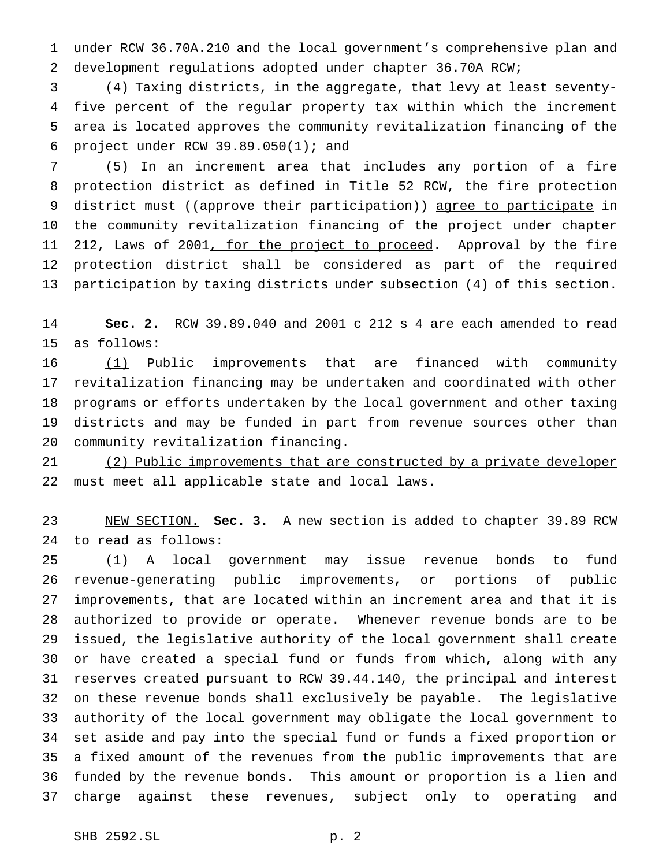under RCW 36.70A.210 and the local government's comprehensive plan and development regulations adopted under chapter 36.70A RCW;

 (4) Taxing districts, in the aggregate, that levy at least seventy- five percent of the regular property tax within which the increment area is located approves the community revitalization financing of the project under RCW 39.89.050(1); and

 (5) In an increment area that includes any portion of a fire protection district as defined in Title 52 RCW, the fire protection 9 district must ((approve their participation)) agree to participate in the community revitalization financing of the project under chapter 11 212, Laws of 2001<u>, for the project to proceed</u>. Approval by the fire protection district shall be considered as part of the required participation by taxing districts under subsection (4) of this section.

 **Sec. 2.** RCW 39.89.040 and 2001 c 212 s 4 are each amended to read as follows:

 (1) Public improvements that are financed with community revitalization financing may be undertaken and coordinated with other programs or efforts undertaken by the local government and other taxing districts and may be funded in part from revenue sources other than community revitalization financing.

 (2) Public improvements that are constructed by a private developer 22 must meet all applicable state and local laws.

 NEW SECTION. **Sec. 3.** A new section is added to chapter 39.89 RCW to read as follows:

 (1) A local government may issue revenue bonds to fund revenue-generating public improvements, or portions of public improvements, that are located within an increment area and that it is authorized to provide or operate. Whenever revenue bonds are to be issued, the legislative authority of the local government shall create or have created a special fund or funds from which, along with any reserves created pursuant to RCW 39.44.140, the principal and interest on these revenue bonds shall exclusively be payable. The legislative authority of the local government may obligate the local government to set aside and pay into the special fund or funds a fixed proportion or a fixed amount of the revenues from the public improvements that are funded by the revenue bonds. This amount or proportion is a lien and charge against these revenues, subject only to operating and